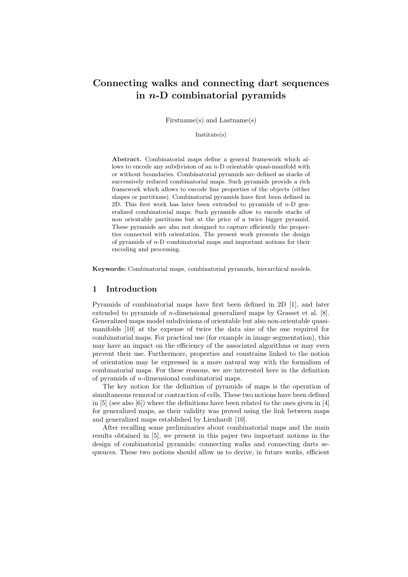# Connecting walks and connecting dart sequences in  $n$ -D combinatorial pyramids

Firstname(s) and Lastname(s)

Institute(s)

Abstract. Combinatorial maps define a general framework which allows to encode any subdivision of an n-D orientable quasi-manifold with or without boundaries. Combinatorial pyramids are defined as stacks of successively reduced combinatorial maps. Such pyramids provide a rich framework which allows to encode fine properties of the objects (either shapes or partitions). Combinatorial pyramids have first been defined in 2D. This first work has later been extended to pyramids of  $n-D$  generalized combinatorial maps. Such pyramids allow to encode stacks of non orientable partitions but at the price of a twice bigger pyramid. These pyramids are also not designed to capture efficiently the properties connected with orientation. The present work presents the design of pyramids of n-D combinatorial maps and important notions for their encoding and processing.

Keywords: Combinatorial maps, combinatorial pyramids, hierarchical models.

# 1 Introduction

Pyramids of combinatorial maps have first been defined in 2D [1], and later extended to pyramids of n-dimensional generalized maps by Grasset et al. [8]. Generalized maps model subdivisions of orientable but also non-orientable quasimanifolds [10] at the expense of twice the data size of the one required for combinatorial maps. For practical use (for example in image segmentation), this may have an impact on the efficiency of the associated algorithms or may even prevent their use. Furthermore, properties and constrains linked to the notion of orientation may be expressed in a more natural way with the formalism of combinatorial maps. For these reasons, we are interested here in the definition of pyramids of n-dimensional combinatorial maps.

The key notion for the definition of pyramids of maps is the operation of simultaneous removal or contraction of cells. These two notions have been defined in [5] (see also [6]) where the definitions have been related to the ones given in [4] for generalized maps, as their validity was proved using the link between maps and generalized maps established by Lienhardt [10].

After recalling some preliminaries about combinatorial maps and the main results obtained in [5], we present in this paper two important notions in the design of combinatorial pyramids: connecting walks and connecting darts sequences. These two notions should allow us to derive, in future works, efficient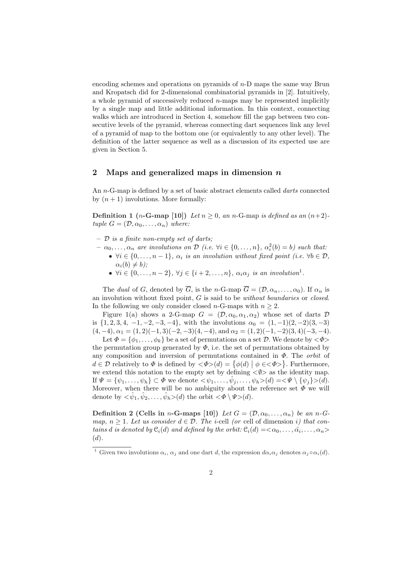encoding schemes and operations on pyramids of n-D maps the same way Brun and Kropatsch did for 2-dimensional combinatorial pyramids in [2]. Intuitively, a whole pyramid of successively reduced  $n$ -maps may be represented implicitly by a single map and little additional information. In this context, connecting walks which are introduced in Section 4, somehow fill the gap between two consecutive levels of the pyramid, whereas connecting dart sequences link any level of a pyramid of map to the bottom one (or equivalently to any other level). The definition of the latter sequence as well as a discussion of its expected use are given in Section 5.

### 2 Maps and generalized maps in dimension  $n$

An *n*-G-map is defined by a set of basic abstract elements called *darts* connected by  $(n + 1)$  involutions. More formally:

Definition 1 (*n*-G-map [10]) Let  $n \geq 0$ , an *n*-G-map is defined as an  $(n+2)$ tuple  $G = (\mathcal{D}, \alpha_0, \dots, \alpha_n)$  where:

- $-$  D is a finite non-empty set of darts;
- $\alpha_0, \ldots, \alpha_n$  are involutions on  $\mathcal{D}$  (i.e.  $\forall i \in \{0, \ldots, n\}$ ,  $\alpha_i^2(b) = b$ ) such that:
	- $\forall i \in \{0, \ldots, n-1\}, \alpha_i$  is an involution without fixed point (i.e.  $\forall b \in \mathcal{D},$  $\alpha_i(b) \neq b$ );
		- $\forall i \in \{0, \ldots, n-2\}, \forall j \in \{i+2, \ldots, n\}, \alpha_i \alpha_j \text{ is an involution}^1.$

The dual of G, denoted by  $\overline{G}$ , is the n-G-map  $\overline{G} = (\mathcal{D}, \alpha_n, \dots, \alpha_0)$ . If  $\alpha_n$  is an involution without fixed point,  $G$  is said to be *without boundaries* or *closed.* In the following we only consider closed *n*-G-maps with  $n \geq 2$ .

Figure 1(a) shows a 2-G-map  $G = (\mathcal{D}, \alpha_0, \alpha_1, \alpha_2)$  whose set of darts  $\mathcal D$ is  $\{1, 2, 3, 4, -1, -2, -3, -4\}$ , with the involutions  $\alpha_0 = (1, -1)(2, -2)(3, -3)$  $(4, -4), \alpha_1 = (1, 2)(-1, 3)(-2, -3)(4, -4), \text{ and } \alpha_2 = (1, 2)(-1, -2)(3, 4)(-3, -4).$ 

Let  $\Phi = {\phi_1, \ldots, \phi_k}$  be a set of permutations on a set  $D$ . We denote by  $\langle \Phi \rangle$ the permutation group generated by  $\Phi$ , i.e. the set of permutations obtained by any composition and inversion of permutations contained in  $\Phi$ . The *orbit* of any composition and inversion of permutations contained in  $\Psi$ . The *orbit* of  $d \in \mathcal{D}$  relatively to  $\Phi$  is defined by  $\langle \Phi \rangle(d) = \{ \phi(d) | \phi \in \langle \Phi \rangle \}$ . Furthermore, we extend this notation to the empty set by defining  $\langle \psi \rangle$  as the identity map. If  $\Psi = {\psi_1, \ldots, \psi_h} \subset \Phi$  we denote  $\langle \psi_1, \ldots, \hat{\psi}_j, \ldots, \psi_h \rangle(d) = \langle \Psi \setminus {\psi_j} \rangle(d)$ . Moreover, when there will be no ambiguity about the reference set  $\Phi$  we will denote by  $\langle \hat{\psi}_1, \hat{\psi}_2, \dots, \hat{\psi}_h \rangle(d)$  the orbit  $\langle \Phi \setminus \Psi \rangle(d)$ .

Definition 2 (Cells in n-G-maps [10]) Let  $G = (\mathcal{D}, \alpha_0, \dots, \alpha_n)$  be an n-Gmap,  $n \geq 1$ . Let us consider  $d \in \mathcal{D}$ . The *i*-cell (or cell of dimension *i*) that contains d is denoted by  $\mathfrak{C}_i(d)$  and defined by the orbit:  $\mathfrak{C}_i(d) = \langle \alpha_0, \ldots, \hat{\alpha_i}, \ldots, \alpha_n \rangle$  $(d).$ 

<sup>&</sup>lt;sup>1</sup> Given two involutions  $\alpha_i$ ,  $\alpha_j$  and one dart d, the expression  $d\alpha_i\alpha_j$  denotes  $\alpha_j \circ \alpha_i(d)$ .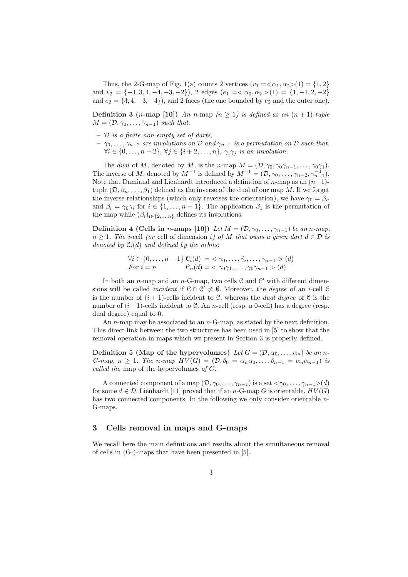Thus, the 2-G-map of Fig. 1(a) counts 2 vertices  $(v_1 = \langle \alpha_1, \alpha_2 \rangle (1) = \{1, 2\}$ and  $v_2 = \{-1, 3, 4, -4, -3, -2\}$ , 2 edges  $(e_1 = \langle \alpha_0, \alpha_2 \rangle (1) = \{1, -1, 2, -2\}$ and  $e_2 = \{3, 4, -3, -4\}$ , and 2 faces (the one bounded by  $e_2$  and the outer one).

**Definition 3** (*n*-map [10]) An *n*-map ( $n \ge 1$ ) is defined as an  $(n + 1)$ -tuple  $M = (\mathcal{D}, \gamma_0, \ldots, \gamma_{n-1})$  such that:

- $-$  D is a finite non-empty set of darts;
- $\gamma_0, \ldots, \gamma_{n-2}$  are involutions on D and  $\gamma_{n-1}$  is a permutation on D such that:  $\forall i \in \{0, \ldots, n-2\}, \forall j \in \{i+2, \ldots, n\}, \gamma_i \gamma_j$  is an involution.

The dual of M, denoted by  $\overline{M}$ , is the n-map  $\overline{M} = (\mathcal{D}, \gamma_0, \gamma_0 \gamma_{n-1}, \dots, \gamma_0 \gamma_1)$ . The inverse of M, denoted by  $M^{-1}$  is defined by  $M^{-1} = (\mathcal{D}, \gamma_0, \ldots, \gamma_{n-2}, \gamma_{n-1}^{-1}).$ Note that Damiand and Lienhardt introduced a definition of  $n$ -map as an  $(n+1)$ tuple  $(\mathcal{D}, \beta_n, \ldots, \beta_1)$  defined as the inverse of the dual of our map M. If we forget the inverse relationships (which only reverses the orientation), we have  $\gamma_0 = \beta_n$ and  $\beta_i = \gamma_0 \gamma_i$  for  $i \in \{1, ..., n-1\}$ . The application  $\beta_1$  is the permutation of the map while  $(\beta_i)_{i\in\{2,\ldots,n\}}$  defines its involutions.

Definition 4 (Cells in n-maps [10]) Let  $M = (\mathcal{D}, \gamma_0, \ldots, \gamma_{n-1})$  be an n-map,  $n \geq 1$ . The *i*-cell (or cell of dimension *i*) of M that owns a given dart  $d \in \mathcal{D}$  is denoted by  $\mathfrak{C}_i(d)$  and defined by the orbits:

$$
\forall i \in \{0, \dots, n-1\} \; \mathcal{C}_i(d) = \langle \gamma_0, \dots, \hat{\gamma}_i, \dots, \gamma_{n-1} \rangle \; (d)
$$
  
For  $i = n$  
$$
\mathcal{C}_n(d) = \langle \gamma_0 \gamma_1, \dots, \gamma_0 \gamma_{n-1} \rangle \; (d)
$$

In both an *n*-map and an *n*-G-map, two cells  $C$  and  $C'$  with different dimensions will be called *incident* if  $C \cap C' \neq \emptyset$ . Moreover, the *degree* of an *i*-cell C is the number of  $(i + 1)$ -cells incident to C, whereas the *dual degree* of C is the number of  $(i-1)$ -cells incident to C. An n-cell (resp. a 0-cell) has a degree (resp. dual degree) equal to 0.

An *n*-map may be associated to an *n*-G-map, as stated by the next definition. This direct link between the two structures has been used in [5] to show that the removal operation in maps which we present in Section 3 is properly defined.

Definition 5 (Map of the hypervolumes) Let  $G = (\mathcal{D}, \alpha_0, \dots, \alpha_n)$  be an n-G-map,  $n \geq 1$ . The n-map  $HV(G) = (\mathcal{D}, \delta_0 = \alpha_n \alpha_0, \ldots, \delta_{n-1} = \alpha_n \alpha_{n-1})$  is called the map of the hypervolumes of G.

A connected component of a map  $(\mathcal{D}, \gamma_0, \ldots, \gamma_{n-1})$  is a set  $\langle \gamma_0, \ldots, \gamma_{n-1} \rangle(d)$ for some  $d \in \mathcal{D}$ . Lienhardt [11] proved that if an n-G-map G is orientable,  $HV(G)$ has two connected components. In the following we only consider orientable n-G-maps.

# 3 Cells removal in maps and G-maps

We recall here the main definitions and results about the simultaneous removal of cells in (G-)-maps that have been presented in [5].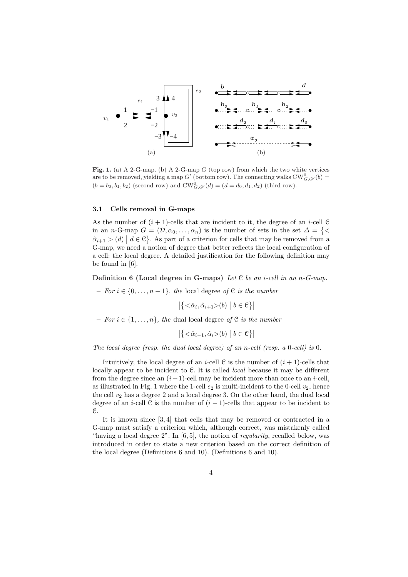

Fig. 1. (a) A 2-G-map. (b) A 2-G-map  $G$  (top row) from which the two white vertices are to be removed, yielding a map  $G'$  (bottom row). The connecting walks  $CW_{G,G'}^0(b)$  =  $(b = b_0, b_1, b_2)$  (second row) and  $CW_{G, G'}^0(d) = (d = d_0, d_1, d_2)$  (third row).

#### 3.1 Cells removal in G-maps

As the number of  $(i + 1)$ -cells that are incident to it, the degree of an *i*-cell C in an n-G-map  $G = (\mathcal{D}, \alpha_0, \dots, \alpha_n)$  is the number of sets in the set  $\Delta = \{ \leq \alpha_0, \dots, \alpha_n \}$  $\hat{\alpha}_{i+1} > (d) | d \in \mathcal{C}$ . As part of a criterion for cells that may be removed from a G-map, we need a notion of degree that better reflects the local configuration of a cell: the local degree. A detailed justification for the following definition may be found in [6].

**Definition 6 (Local degree in G-maps)** Let  $C$  be an *i*-cell in an *n*-G-map.

– For  $i \in \{0, \ldots, n-1\}$ , the local degree of C is the number

 $\overline{\mathcal{A}}$  $<\hat{\alpha}_i, \hat{\alpha}_{i+1}>(b)$  $\vert b \in \mathcal{C} \} \vert$ 

– For  $i \in \{1, \ldots, n\}$ , the dual local degree of C is the number

$$
\left| \left\{ <\hat{\alpha}_{i-1}, \hat{\alpha}_i > (b) \; \middle| \; b \in \mathcal{C} \right\} \right|
$$

The local degree (resp. the dual local degree) of an n-cell (resp. a 0-cell) is 0.

Intuitively, the local degree of an *i*-cell  $C$  is the number of  $(i + 1)$ -cells that locally appear to be incident to C. It is called *local* because it may be different from the degree since an  $(i+1)$ -cell may be incident more than once to an *i*-cell, as illustrated in Fig. 1 where the 1-cell  $e_2$  is multi-incident to the 0-cell  $v_2$ , hence the cell  $v_2$  has a degree 2 and a local degree 3. On the other hand, the dual local degree of an *i*-cell C is the number of  $(i - 1)$ -cells that appear to be incident to C.

It is known since [3, 4] that cells that may be removed or contracted in a G-map must satisfy a criterion which, although correct, was mistakenly called "having a local degree  $2$ ". In [6, 5], the notion of *regularity*, recalled below, was introduced in order to state a new criterion based on the correct definition of the local degree (Definitions 6 and 10). (Definitions 6 and 10).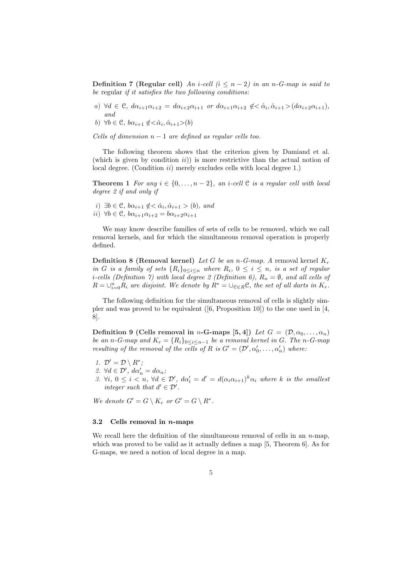Definition 7 (Regular cell) An i-cell  $(i \leq n-2)$  in an n-G-map is said to be regular if it satisfies the two following conditions:

- a)  $\forall d \in \mathcal{C}, d\alpha_{i+1}\alpha_{i+2} = d\alpha_{i+2}\alpha_{i+1}$  or  $d\alpha_{i+1}\alpha_{i+2} \notin <\hat{\alpha}_i, \hat{\alpha}_{i+1} > (d\alpha_{i+2}\alpha_{i+1}),$ and
- b)  $\forall b \in \mathcal{C}, b\alpha_{i+1} \notin <\hat{\alpha}_i, \hat{\alpha}_{i+1}>$

Cells of dimension  $n-1$  are defined as regular cells too.

The following theorem shows that the criterion given by Damiand et al. (which is given by condition  $ii$ )) is more restrictive than the actual notion of local degree. (Condition *ii*) merely excludes cells with local degree 1.)

Theorem 1 For any  $i \in \{0, \ldots, n-2\}$ , an *i-cell*  $\mathfrak C$  is a regular cell with local degree 2 if and only if

i) ∃ $b \in \mathcal{C}$ ,  $b\alpha_{i+1} \notin <\hat{\alpha}_i, \hat{\alpha}_{i+1} > (b)$ , and ii)  $\forall b \in \mathcal{C}, b\alpha_{i+1}\alpha_{i+2} = b\alpha_{i+2}\alpha_{i+1}$ 

We may know describe families of sets of cells to be removed, which we call removal kernels, and for which the simultaneous removal operation is properly defined.

**Definition 8 (Removal kernel)** Let G be an  $n$ -G-map. A removal kernel  $K_r$ in G is a family of sets  $\{R_i\}_{0 \leq i \leq n}$  where  $R_i$ ,  $0 \leq i \leq n$ , is a set of regular *i*-cells (Definition 7) with local degree 2 (Definition 6),  $R_n = \emptyset$ , and all cells of  $R = \bigcup_{i=0}^n R_i$  are disjoint. We denote by  $R^* = \bigcup_{e \in R} \mathcal{C}$ , the set of all darts in  $K_r$ .

The following definition for the simultaneous removal of cells is slightly simpler and was proved to be equivalent ([6, Proposition 10]) to the one used in [4, 8].

Definition 9 (Cells removal in n-G-maps [5, 4]) Let  $G = (\mathcal{D}, \alpha_0, \ldots, \alpha_n)$ be an n-G-map and  $K_r = \{R_i\}_{0 \leq i \leq n-1}$  be a removal kernel in G. The n-G-map resulting of the removal of the cells of R is  $G' = (\mathcal{D}', \alpha'_0, \ldots, \alpha'_n)$  where:

- 1.  $\mathcal{D}' = \mathcal{D} \setminus R^*$ ;
- 2.  $\forall d \in \mathcal{D}'$ ,  $d\alpha'_n = d\alpha_n$ ;
- 3.  $\forall i, 0 \leq i < n, \forall d \in \mathcal{D}'$ ,  $d\alpha'_i = d' = d(\alpha_i \alpha_{i+1})^k \alpha_i$  where k is the smallest integer such that  $d' \in \mathcal{D}'$ .

We denote  $G' = G \setminus K_r$  or  $G' = G \setminus R^*$ .

### 3.2 Cells removal in  $n$ -maps

We recall here the definition of the simultaneous removal of cells in an  $n$ -map, which was proved to be valid as it actually defines a map [5, Theorem 6]. As for G-maps, we need a notion of local degree in a map.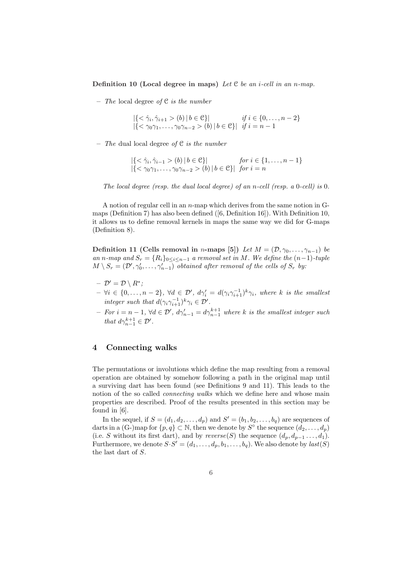Definition 10 (Local degree in maps) Let  $C$  be an *i*-cell in an *n*-map.

– The local degree of  $C$  is the number

$$
|\{<\hat{\gamma}_i, \hat{\gamma}_{i+1} > (b) | b \in \mathcal{C}\}| \quad \text{if } i \in \{0, \dots, n-2\} |\{<\gamma_0\gamma_1, \dots, \gamma_0\gamma_{n-2} > (b) | b \in \mathcal{C}\}| \quad \text{if } i = n-1
$$

– The dual local degree of  $C$  is the number

$$
|\{<\hat{\gamma}_i, \hat{\gamma}_{i-1} > (b) | b \in \mathcal{C}\}| \quad \text{for } i \in \{1, ..., n-1\}
$$
  

$$
|\{<\gamma_0\gamma_1, ..., \gamma_0\gamma_{n-2} > (b) | b \in \mathcal{C}\}| \quad \text{for } i = n
$$

The local degree (resp. the dual local degree) of an n-cell (resp. a  $0$ -cell) is  $0$ .

A notion of regular cell in an n-map which derives from the same notion in Gmaps (Definition 7) has also been defined ([6, Definition 16]). With Definition 10, it allows us to define removal kernels in maps the same way we did for G-maps (Definition 8).

Definition 11 (Cells removal in n-maps [5]) Let  $M = (\mathcal{D}, \gamma_0, \dots, \gamma_{n-1})$  be an n-map and  $S_r = \{R_i\}_{0 \leq i \leq n-1}$  a removal set in M. We define the  $(n-1)$ -tuple  $M \setminus S_r = (\mathcal{D}', \gamma'_0, \ldots, \gamma'_{n-1})$  obtained after removal of the cells of  $S_r$  by:

$$
- \mathcal{D}' = \mathcal{D} \setminus R^*;
$$

- $-\forall i \in \{0,\ldots,n-2\}, \ \forall d \in \mathcal{D}', \ d\gamma_i' = d(\gamma_i \gamma_{i+1}^{-1})^k \gamma_i, \ where \ k \ is \ the \ smallest$ integer such that  $d(\gamma_i \gamma_{i+1}^{-1})^k \gamma_i \in \mathcal{D}'$ .
- $-$  For  $i = n 1$ , ∀d ∈  $\mathcal{D}'$ ,  $d\gamma'_{n-1} = d\gamma_{n-1}^{k+1}$  where k is the smallest integer such that  $d\gamma_{n-1}^{k+1} \in \mathcal{D}'$ .

# 4 Connecting walks

The permutations or involutions which define the map resulting from a removal operation are obtained by somehow following a path in the original map until a surviving dart has been found (see Definitions 9 and 11). This leads to the notion of the so called *connecting walks* which we define here and whose main properties are described. Proof of the results presented in this section may be found in [6].

In the sequel, if  $S = (d_1, d_2, \ldots, d_p)$  and  $S' = (b_1, b_2, \ldots, b_q)$  are sequences of darts in a (G-)map for  $\{p,q\} \subset \mathbb{N}$ , then we denote by  $S^{\circ}$  the sequence  $(d_2,\ldots,d_p)$ (i.e. S without its first dart), and by  $reverse(S)$  the sequence  $(d_p, d_{p-1}, \ldots, d_1)$ . Furthermore, we denote  $S \cdot S' = (d_1, \ldots, d_p, b_1, \ldots, b_q)$ . We also denote by  $last(S)$ the last dart of S.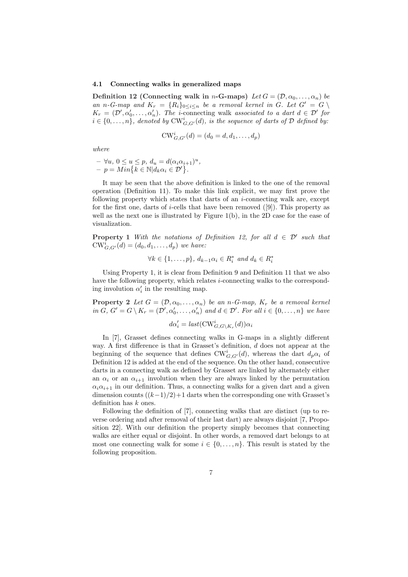#### 4.1 Connecting walks in generalized maps

Definition 12 (Connecting walk in n-G-maps) Let  $G = (\mathcal{D}, \alpha_0, \dots, \alpha_n)$  be an n-G-map and  $K_r = \{R_i\}_{0 \leq i \leq n}$  be a removal kernel in G. Let  $G' = G \setminus$  $K_r = (\mathcal{D}', \alpha'_0, \dots, \alpha'_n)$ . The *i*-connecting walk associated to a dart  $d \in \mathcal{D}'$  for  $i \in \{0, \ldots, n\}$ , denoted by  $\text{CW}_{G,G'}^i(d)$ , is the sequence of darts of  $\mathcal D$  defined by:

$$
CW_{G,G'}^{i}(d) = (d_0 = d, d_1, \dots, d_p)
$$

where

$$
- \forall u, 0 \le u \le p, d_u = d(\alpha_i \alpha_{i+1})^u,
$$
  

$$
- p = Min \{ k \in \mathbb{N} | d_k \alpha_i \in \mathcal{D}' \}.
$$

It may be seen that the above definition is linked to the one of the removal operation (Definition 11). To make this link explicit, we may first prove the following property which states that darts of an i-connecting walk are, except for the first one, darts of *i*-cells that have been removed  $([9])$ . This property as well as the next one is illustrated by Figure 1(b), in the 2D case for the ease of visualization.

**Property 1** With the notations of Definition 12, for all  $d \in \mathcal{D}'$  such that  $\text{CW}_{G,G'}^i(d) = (d_0, d_1, \ldots, d_p)$  we have:

$$
\forall k \in \{1, \ldots, p\}, \ d_{k-1} \alpha_i \in R_i^* \ and \ d_k \in R_i^*
$$

Using Property 1, it is clear from Definition 9 and Definition 11 that we also have the following property, which relates *i*-connecting walks to the corresponding involution  $\alpha'_i$  in the resulting map.

**Property 2** Let  $G = (\mathcal{D}, \alpha_0, \dots, \alpha_n)$  be an n-G-map,  $K_r$  be a removal kernel in  $G, G' = G \setminus K_r = (\mathcal{D}', \alpha'_0, \dots, \alpha'_n)$  and  $d \in \mathcal{D}'$ . For all  $i \in \{0, \dots, n\}$  we have

$$
d\alpha_i' = last(\text{CW}_{G, G \backslash K_r}^i(d))\alpha_i
$$

In [7], Grasset defines connecting walks in G-maps in a slightly different way. A first difference is that in Grasset's definition, d does not appear at the beginning of the sequence that defines  $\text{CW}_{G,G'}^i(d)$ , whereas the dart  $d_p\alpha_i$  of Definition 12 is added at the end of the sequence. On the other hand, consecutive darts in a connecting walk as defined by Grasset are linked by alternately either an  $\alpha_i$  or an  $\alpha_{i+1}$  involution when they are always linked by the permutation  $\alpha_i \alpha_{i+1}$  in our definition. Thus, a connecting walks for a given dart and a given dimension counts  $((k-1)/2)+1$  darts when the corresponding one with Grasset's definition has k ones.

Following the definition of [7], connecting walks that are distinct (up to reverse ordering and after removal of their last dart) are always disjoint [7, Proposition 22]. With our definition the property simply becomes that connecting walks are either equal or disjoint. In other words, a removed dart belongs to at most one connecting walk for some  $i \in \{0, \ldots, n\}$ . This result is stated by the following proposition.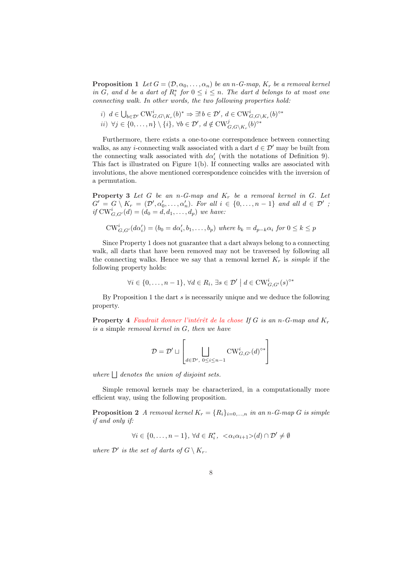**Proposition 1** Let  $G = (\mathcal{D}, \alpha_0, \dots, \alpha_n)$  be an n-G-map,  $K_r$  be a removal kernel in G, and d be a dart of  $R_i^*$  for  $0 \leq i \leq n$ . The dart d belongs to at most one connecting walk. In other words, the two following properties hold:

*i)* 
$$
d \in \bigcup_{b \in \mathcal{D}'} \text{CW}_{G,G \backslash K_r}^i(b)^* \Rightarrow \exists! b \in \mathcal{D}', d \in \text{CW}_{G,G \backslash K_r}^i(b)^{\circ*}
$$
  
*ii)*  $\forall j \in \{0, ..., n\} \setminus \{i\}, \forall b \in \mathcal{D}', d \notin \text{CW}_{G,G \backslash K_r}^j(b)^{\circ*}$ 

Furthermore, there exists a one-to-one correspondence between connecting walks, as any *i*-connecting walk associated with a dart  $d \in \mathcal{D}'$  may be built from the connecting walk associated with  $d\alpha_i'$  (with the notations of Definition 9). This fact is illustrated on Figure 1(b). If connecting walks are associated with involutions, the above mentioned correspondence coincides with the inversion of a permutation.

**Property 3** Let G be an n-G-map and  $K_r$  be a removal kernel in G. Let  $G' = G \setminus K_r = (\mathcal{D}', \alpha'_0, \ldots, \alpha'_n)$ . For all  $i \in \{0, \ldots, n-1\}$  and all  $d \in \mathcal{D}'$ ; if  $\text{CW}_{G,G'}^i(d) = (d_0 = d, d_1, ..., d_p)$  we have:

$$
CW_{G,G'}^i(d\alpha'_i) = (b_0 = d\alpha'_i, b_1, \dots, b_p) \text{ where } b_k = d_{p-k}\alpha_i \text{ for } 0 \le k \le p
$$

Since Property 1 does not guarantee that a dart always belong to a connecting walk, all darts that have been removed may not be traversed by following all the connecting walks. Hence we say that a removal kernel  $K_r$  is *simple* if the following property holds:

$$
\forall i \in \{0, \ldots, n-1\}, \, \forall d \in R_i, \, \exists s \in \mathcal{D}' \mid d \in \text{CW}_{G, G'}^{i}(s)^{S*}
$$

By Proposition 1 the dart  $s$  is necessarily unique and we deduce the following property.

**Property 4** Faudrait donner l'intérêt de la chose If G is an n-G-map and  $K_r$ is a simple removal kernel in G, then we have

$$
\mathcal{D} = \mathcal{D}' \sqcup \left[ \bigsqcup_{d \in \mathcal{D}', \ 0 \leq i \leq n-1} \mathrm{CW}^i_{G, G'}(d)^{\circ *} \right]
$$

where  $\Box$  denotes the union of disjoint sets.

Simple removal kernels may be characterized, in a computationally more efficient way, using the following proposition.

**Proposition 2** A removal kernel  $K_r = \{R_i\}_{i=0,\dots,n}$  in an n-G-map G is simple if and only if:

$$
\forall i \in \{0,\ldots,n-1\},\, \forall d \in R_i^*,\ \langle \alpha_i \alpha_{i+1} \rangle(d) \cap \mathcal{D}' \neq \emptyset
$$

where  $\mathcal{D}'$  is the set of darts of  $G \setminus K_r$ .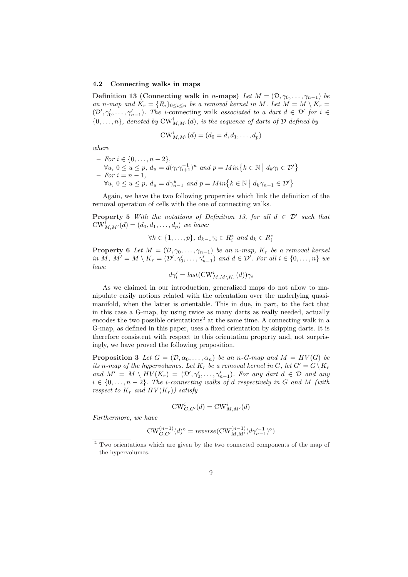#### 4.2 Connecting walks in maps

Definition 13 (Connecting walk in n-maps) Let  $M = (\mathcal{D}, \gamma_0, \dots, \gamma_{n-1})$  be an n-map and  $K_r = \{R_i\}_{0 \leq i \leq n}$  be a removal kernel in M. Let  $M = M \setminus K_r =$  $(\mathcal{D}', \gamma'_0, \ldots, \gamma'_{n-1})$ . The *i*-connecting walk associated to a dart  $d \in \mathcal{D}'$  for  $i \in \mathcal{D}'$  $\{0,\ldots,n\}$ , denoted by  $\text{CW}^i_{M,M'}(d)$ , is the sequence of darts of  $\mathcal D$  defined by

$$
CW_{M,M'}^{i}(d) = (d_0 = d, d_1, \dots, d_p)
$$

where

 $-$  *For*  $i \in \{0, ..., n-2\},\$  $\forall u, 0 \le u \le p, d_u = d(\gamma_i \gamma_{i+1}^{-1})^u \text{ and } p = Min\{k \in \mathbb{N}\}$  $| d_k \gamma_i \in \mathcal{D}' \}$  $- For i = n - 1,$ For  $i = n - 1$ ,<br> $\forall u, 0 \le u \le p$ ,  $d_u = d\gamma_{n-1}^u$  and  $p = Min\{k \in \mathbb{N}\}$  $\mid d_k \gamma_{n-1} \in \mathcal{D}' \}$ 

Again, we have the two following properties which link the definition of the removal operation of cells with the one of connecting walks.

**Property 5** With the notations of Definition 13, for all  $d \in \mathcal{D}'$  such that  $\text{CW}_{M,M'}^i(d) = (d_0, d_1, \ldots, d_p)$  we have:

 $\forall k \in \{1, \ldots, p\}, d_{k-1}\gamma_i \in R_i^* \text{ and } d_k \in R_i^*$ 

**Property 6** Let  $M = (\mathcal{D}, \gamma_0, \dots, \gamma_{n-1})$  be an n-map,  $K_r$  be a removal kernel in M,  $M' = M \setminus K_r = (\mathcal{D}', \gamma'_0, \dots, \gamma'_{n-1})$  and  $d \in \mathcal{D}'$ . For all  $i \in \{0, \dots, n\}$  we have

$$
d\gamma_i' = \text{last}(\text{CW}_{M,M\setminus K_r}^i(d))\gamma_i
$$

As we claimed in our introduction, generalized maps do not allow to manipulate easily notions related with the orientation over the underlying quasimanifold, when the latter is orientable. This in due, in part, to the fact that in this case a G-map, by using twice as many darts as really needed, actually encodes the two possible orientations<sup>2</sup> at the same time. A connecting walk in a G-map, as defined in this paper, uses a fixed orientation by skipping darts. It is therefore consistent with respect to this orientation property and, not surprisingly, we have proved the following proposition.

**Proposition 3** Let  $G = (\mathcal{D}, \alpha_0, \dots, \alpha_n)$  be an n-G-map and  $M = HV(G)$  be its n-map of the hypervolumes. Let  $K_r$  be a removal kernel in G, let  $G' = G \backslash K_r$ and  $M' = M \setminus HV(K_r) = (\mathcal{D}', \gamma'_0, \ldots, \gamma'_{n-1})$ . For any dart  $d \in \mathcal{D}$  and any  $i \in \{0, \ldots, n-2\}$ . The *i*-connecting walks of d respectively in G and M (with respect to  $K_r$  and  $HV(K_r)$  satisfy

$$
\mathrm{CW}^i_{G,G'}(d) = \mathrm{CW}^i_{M,M'}(d)
$$

Furthermore, we have

$$
\mathrm{CW}^{(n-1)}_{G,G'}(d)^\circ = \mathit{reverse}(\mathrm{CW}^{(n-1)}_{M,M'}(d\gamma_{n-1}')^\circ)
$$

<sup>2</sup> Two orientations which are given by the two connected components of the map of the hypervolumes.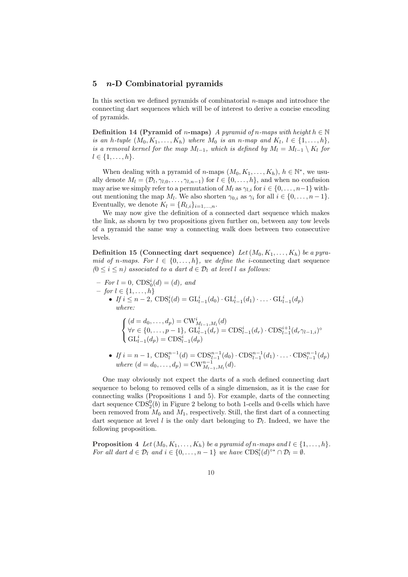### 5 n-D Combinatorial pyramids

In this section we defined pyramids of combinatorial  $n$ -maps and introduce the connecting dart sequences which will be of interest to derive a concise encoding of pyramids.

Definition 14 (Pyramid of n-maps) A pyramid of n-maps with height  $h \in \mathbb{N}$ is an h-tuple  $(M_0, K_1, \ldots, K_h)$  where  $M_0$  is an n-map and  $K_l, l \in \{1, \ldots, h\}$ , is a removal kernel for the map  $M_{l-1}$ , which is defined by  $M_l = M_{l-1} \setminus K_l$  for  $l \in \{1, \ldots, h\}.$ 

When dealing with a pyramid of *n*-maps  $(M_0, K_1, \ldots, K_h)$ ,  $h \in \mathbb{N}^*$ , we usually denote  $M_l = (\mathcal{D}_l, \gamma_{l,0}, \ldots, \gamma_{l,n-1})$  for  $l \in \{0, \ldots, h\}$ , and when no confusion may arise we simply refer to a permutation of  $M_l$  as  $\gamma_{l,i}$  for  $i \in \{0, \ldots, n-1\}$  without mentioning the map  $M_l$ . We also shorten  $\gamma_{0,i}$  as  $\gamma_i$  for all  $i \in \{0, \ldots, n-1\}$ . Eventually, we denote  $K_l = \{R_{l,i}\}_{i=1,\ldots,n}$ .

We may now give the definition of a connected dart sequence which makes the link, as shown by two propositions given further on, between any tow levels of a pyramid the same way a connecting walk does between two consecutive levels.

Definition 15 (Connecting dart sequence) Let  $(M_0, K_1, \ldots, K_h)$  be a pyramid of n-maps. For  $l \in \{0, \ldots, h\}$ , we define the *i*-connecting dart sequence  $(0 \leq i \leq n)$  associated to a dart  $d \in \mathcal{D}_l$  at level l as follows:

 $-$  For  $l = 0$ ,  $CDS_0^i(d) = (d)$ , and  $-$  for  $l \in \{1, ..., h\}$ • If  $i \leq n-2$ ,  $CDS_l^i(d) = GL_{l-1}^i(d_0) \cdot GL_{l-1}^i(d_1) \cdot ... \cdot GL_{l-1}^i(d_p)$ where:  $\overline{a}$  $\sqrt{ }$  $\mathcal{L}$  $(d = d_0, \ldots, d_p) = CW^i_{M_{l-1},M_l}(d)$  $\forall r \in \{0, ..., p-1\}, \ \mathrm{GL}_{l-1}^{i}(d_r) = \mathrm{CDS}_{l-1}^{i}(d_r) \cdot \mathrm{CDS}_{l-1}^{i+1}(d_r \gamma_{l-1,i})^{\circ}$  $GL_{l-1}^{i}(d_{p}) = CDS_{l-1}^{i}(d_{p})$ 

• If  $i = n - 1$ ,  $CDS_l^{n-1}(d) = CDS_{l-1}^{n-1}(d_0) \cdot CDS_{l-1}^{n-1}(d_1) \cdot \ldots \cdot CDS_{l-1}^{n-1}(d_p)$ where  $(d = d_0, ..., d_p) = CW_{M_{l-1},M_l}^{n-1}(d)$ .

One may obviously not expect the darts of a such defined connecting dart sequence to belong to removed cells of a single dimension, as it is the case for connecting walks (Propositions 1 and 5). For example, darts of the connecting dart sequence  $CDS_2^0(b)$  in Figure 2 belong to both 1-cells and 0-cells which have been removed from  $M_0$  and  $M_1$ , respectively. Still, the first dart of a connecting dart sequence at level l is the only dart belonging to  $\mathcal{D}_l$ . Indeed, we have the following proposition.

**Proposition 4** Let  $(M_0, K_1, \ldots, K_h)$  be a pyramid of n-maps and  $l \in \{1, \ldots, h\}$ . For all dart  $d \in \mathcal{D}_l$  and  $i \in \{0, \ldots, n-1\}$  we have  $CDS_l^i(d)^{\circ*} \cap \mathcal{D}_l = \emptyset$ .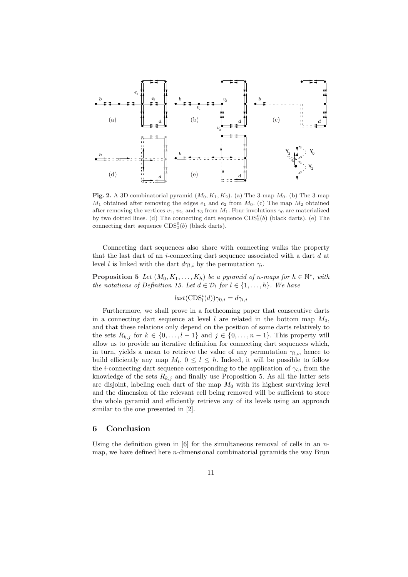

Fig. 2. A 3D combinatorial pyramid  $(M_0, K_1, K_2)$ . (a) The 3-map  $M_0$ . (b) The 3-map  $M_1$  obtained after removing the edges  $e_1$  and  $e_2$  from  $M_0$ . (c) The map  $M_2$  obtained after removing the vertices  $v_1, v_2$ , and  $v_3$  from  $M_1$ . Four involutions  $\gamma_0$  are materialized by two dotted lines. (d) The connecting dart sequence  $CDS<sub>2</sub><sup>0</sup>(b)$  (black darts). (e) The connecting dart sequence  $CDS<sub>2</sub><sup>0</sup>(b)$  (black darts).

Connecting dart sequences also share with connecting walks the property that the last dart of an *i*-connecting dart sequence associated with a dart d at level l is linked with the dart  $d\gamma_{l,i}$  by the permutation  $\gamma_i$ .

**Proposition 5** Let  $(M_0, K_1, \ldots, K_h)$  be a pyramid of n-maps for  $h \in \mathbb{N}^*$ , with the notations of Definition 15. Let  $d \in \mathcal{D}_l$  for  $l \in \{1, \ldots, h\}$ . We have

 $last(\text{CDS}_l^i(d))\gamma_{0,i} = d\gamma_{l,i}$ 

Furthermore, we shall prove in a forthcoming paper that consecutive darts in a connecting dart sequence at level l are related in the bottom map  $M_0$ , and that these relations only depend on the position of some darts relatively to the sets  $R_{k,j}$  for  $k \in \{0, \ldots, l-1\}$  and  $j \in \{0, \ldots, n-1\}$ . This property will allow us to provide an iterative definition for connecting dart sequences which, in turn, yields a mean to retrieve the value of any permutation  $\gamma_{l,i}$ , hence to build efficiently any map  $M_l$ ,  $0 \leq l \leq h$ . Indeed, it will be possible to follow the *i*-connecting dart sequence corresponding to the application of  $\gamma_{l,i}$  from the knowledge of the sets  $R_{k,j}$  and finally use Proposition 5. As all the latter sets are disjoint, labeling each dart of the map  $M_0$  with its highest surviving level and the dimension of the relevant cell being removed will be sufficient to store the whole pyramid and efficiently retrieve any of its levels using an approach similar to the one presented in [2].

## 6 Conclusion

Using the definition given in [6] for the simultaneous removal of cells in an  $n$ map, we have defined here  $n$ -dimensional combinatorial pyramids the way Brun